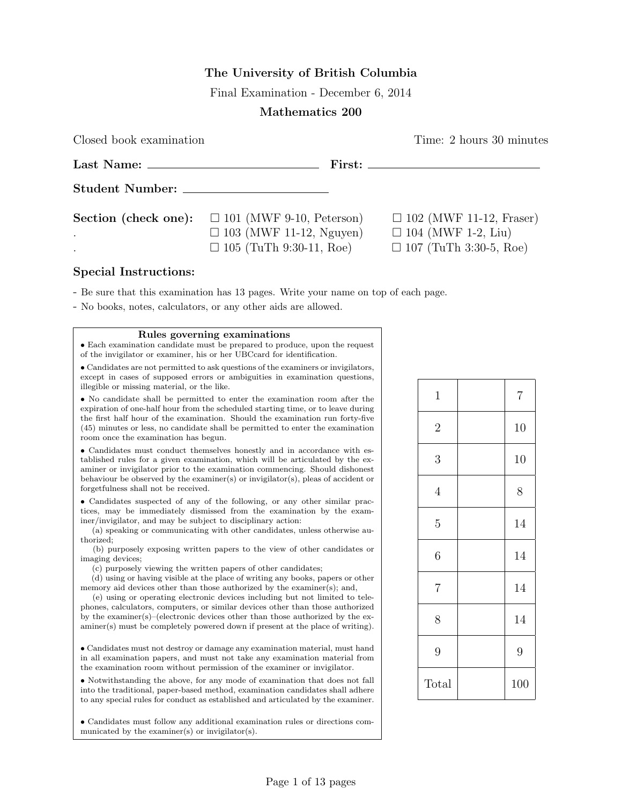## The University of British Columbia

Final Examination - December 6, 2014

## Mathematics 200

Closed book examination Time: 2 hours 30 minutes

|                                                                                               | $First: \_$                                                 |
|-----------------------------------------------------------------------------------------------|-------------------------------------------------------------|
|                                                                                               |                                                             |
| <b>Section (check one):</b> $\Box$ 101 (MWF 9-10, Peterson)<br>$\Box$ 103 (MWF 11-12, Nguyen) | $\Box$ 102 (MWF 11-12, Fraser)<br>$\Box$ 104 (MWF 1-2, Liu) |
| $\Box$ 105 (TuTh 9:30-11, Roe)                                                                | $\Box$ 107 (TuTh 3:30-5, Roe)                               |

## Special Instructions:

- Be sure that this examination has 13 pages. Write your name on top of each page.

- No books, notes, calculators, or any other aids are allowed.

Rules governing examinations

• Each examination candidate must be prepared to produce, upon the request of the invigilator or examiner, his or her UBCcard for identification.

• Candidates are not permitted to ask questions of the examiners or invigilators, except in cases of supposed errors or ambiguities in examination questions, illegible or missing material, or the like.

• No candidate shall be permitted to enter the examination room after the expiration of one-half hour from the scheduled starting time, or to leave during the first half hour of the examination. Should the examination run forty-five (45) minutes or less, no candidate shall be permitted to enter the examination room once the examination has begun.

• Candidates must conduct themselves honestly and in accordance with established rules for a given examination, which will be articulated by the examiner or invigilator prior to the examination commencing. Should dishonest behaviour be observed by the examiner(s) or invigilator(s), pleas of accident or forgetfulness shall not be received.

• Candidates suspected of any of the following, or any other similar practices, may be immediately dismissed from the examination by the examiner/invigilator, and may be subject to disciplinary action:

(a) speaking or communicating with other candidates, unless otherwise authorized;

(b) purposely exposing written papers to the view of other candidates or imaging devices;

(c) purposely viewing the written papers of other candidates;

(d) using or having visible at the place of writing any books, papers or other memory aid devices other than those authorized by the examiner(s); and,

(e) using or operating electronic devices including but not limited to telephones, calculators, computers, or similar devices other than those authorized by the examiner(s)–(electronic devices other than those authorized by the examiner(s) must be completely powered down if present at the place of writing).

• Candidates must not destroy or damage any examination material, must hand in all examination papers, and must not take any examination material from the examination room without permission of the examiner or invigilator.

• Notwithstanding the above, for any mode of examination that does not fall into the traditional, paper-based method, examination candidates shall adhere to any special rules for conduct as established and articulated by the examiner.

• Candidates must follow any additional examination rules or directions communicated by the examiner(s) or invigilator(s).

| $\mathbf{1}$   | $\overline{7}$ |
|----------------|----------------|
| $\overline{2}$ | 10             |
| 3              | 10             |
| $\overline{4}$ | 8              |
| $\overline{5}$ | 14             |
| 6              | 14             |
| $\overline{7}$ | 14             |
| 8              | 14             |
| 9              | 9              |
| Total          | 100            |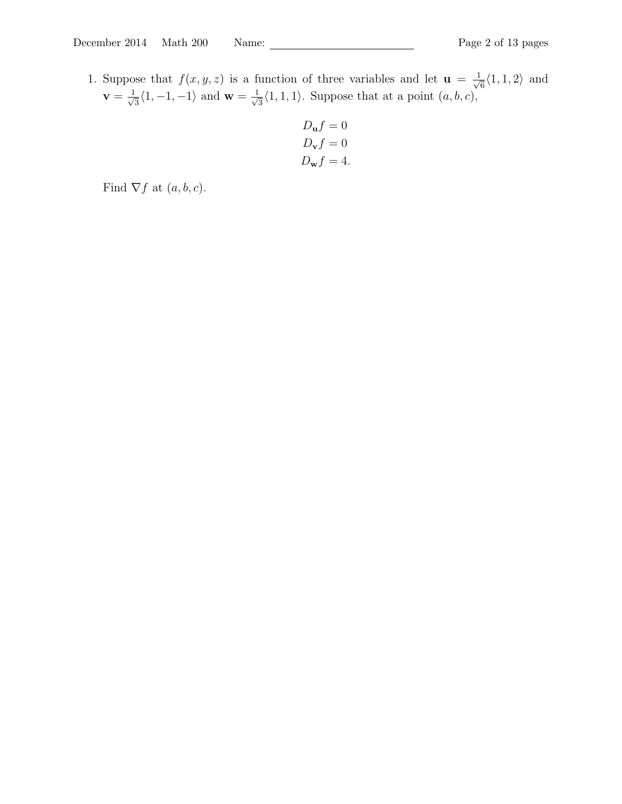1. Suppose that  $f(x, y, z)$  is a function of three variables and let  $\mathbf{u} = \frac{1}{\sqrt{2}}$  $\frac{1}{6}\langle 1, 1, 2 \rangle$  and  $\mathbf{v} = \frac{1}{\sqrt{2}}$  $\frac{1}{3}\langle 1, -1, -1 \rangle$  and  $\mathbf{w} = \frac{1}{\sqrt{3}}$  $\frac{1}{3}\langle 1, 1, 1 \rangle$ . Suppose that at a point  $(a, b, c)$ ,

$$
D_{\mathbf{u}}f = 0
$$
  

$$
D_{\mathbf{v}}f = 0
$$
  

$$
D_{\mathbf{w}}f = 4.
$$

Find  $\nabla f$  at  $(a, b, c)$ .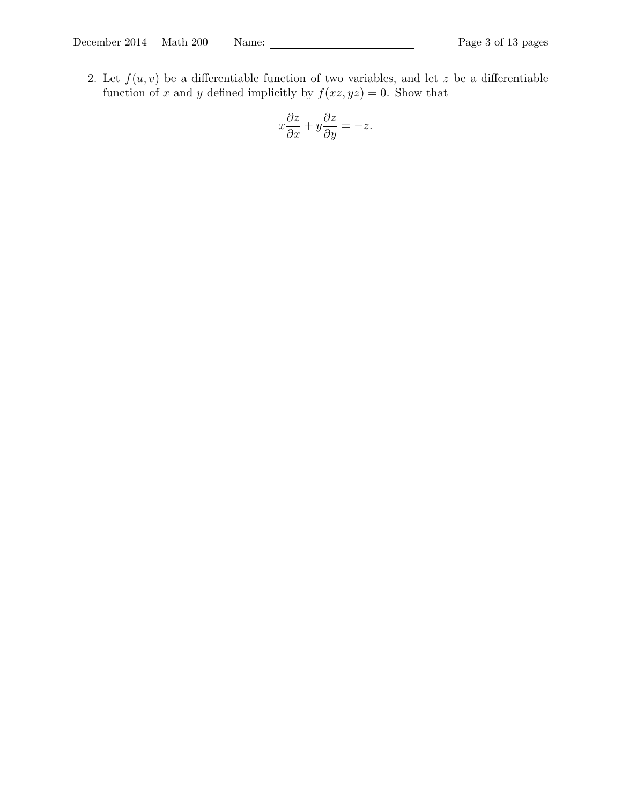2. Let  $f(u, v)$  be a differentiable function of two variables, and let z be a differentiable function of x and y defined implicitly by  $f(xz, yz) = 0$ . Show that

$$
x\frac{\partial z}{\partial x} + y\frac{\partial z}{\partial y} = -z.
$$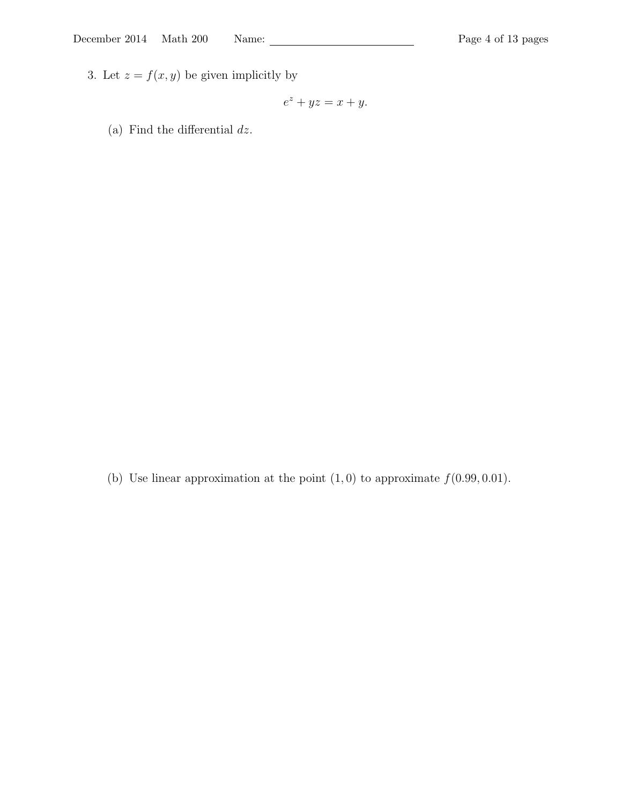3. Let  $z = f(x, y)$  be given implicitly by

$$
e^z + yz = x + y.
$$

(a) Find the differential  $dz$ .

(b) Use linear approximation at the point  $(1, 0)$  to approximate  $f(0.99, 0.01)$ .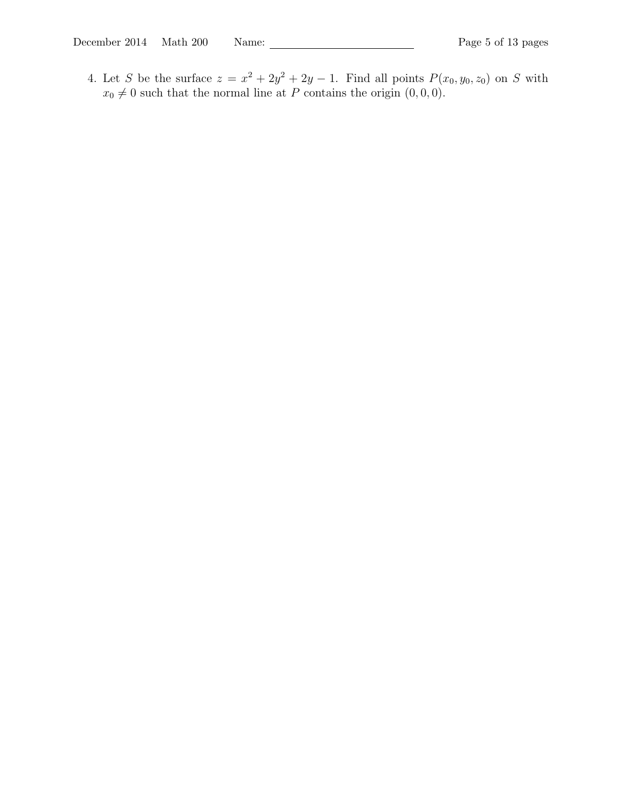4. Let S be the surface  $z = x^2 + 2y^2 + 2y - 1$ . Find all points  $P(x_0, y_0, z_0)$  on S with  $x_0 \neq 0$  such that the normal line at P contains the origin  $(0, 0, 0)$ .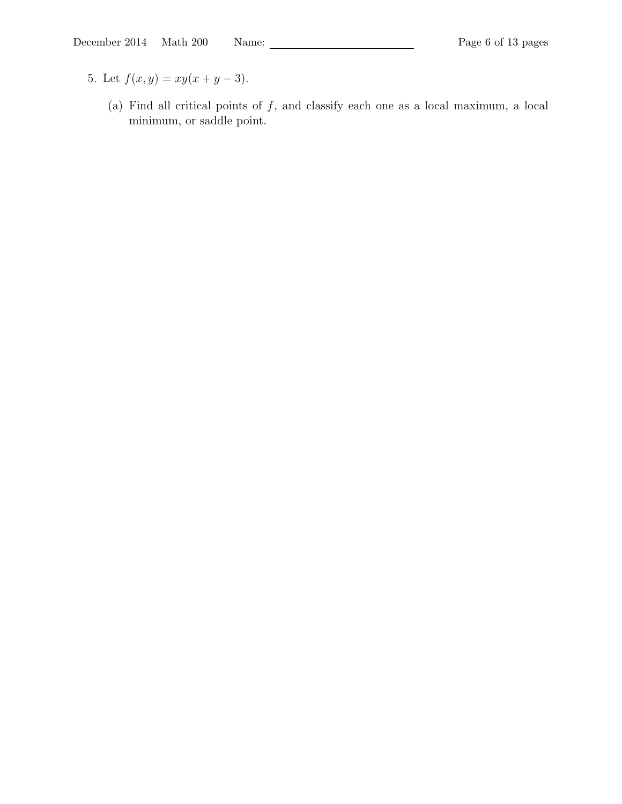- 5. Let  $f(x, y) = xy(x + y 3)$ .
	- (a) Find all critical points of  $f$ , and classify each one as a local maximum, a local minimum, or saddle point.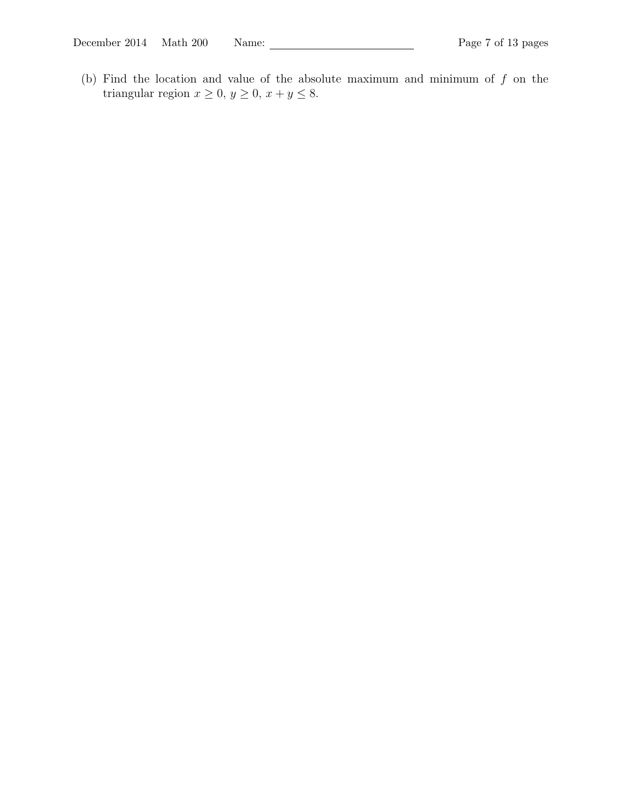(b) Find the location and value of the absolute maximum and minimum of  $f$  on the triangular region  $x \ge 0$ ,  $y \ge 0$ ,  $x + y \le 8$ .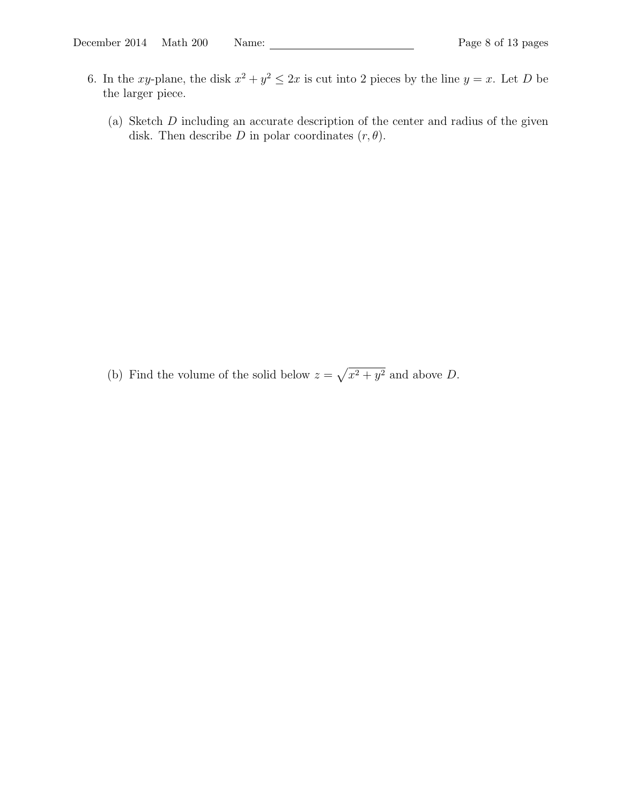- 6. In the xy-plane, the disk  $x^2 + y^2 \leq 2x$  is cut into 2 pieces by the line  $y = x$ . Let D be the larger piece.
	- (a) Sketch D including an accurate description of the center and radius of the given disk. Then describe D in polar coordinates  $(r, \theta)$ .

(b) Find the volume of the solid below  $z = \sqrt{x^2 + y^2}$  and above D.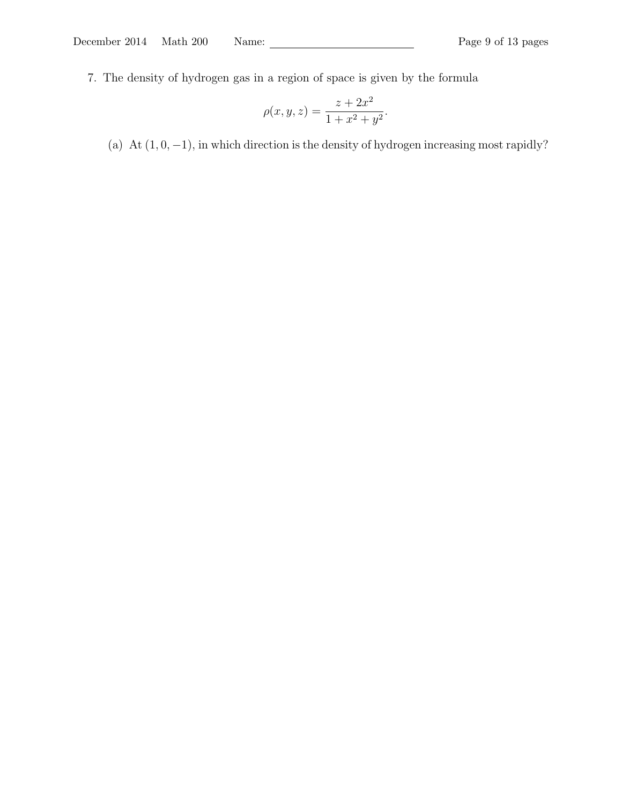7. The density of hydrogen gas in a region of space is given by the formula

$$
\rho(x, y, z) = \frac{z + 2x^2}{1 + x^2 + y^2}.
$$

(a) At  $(1, 0, -1)$ , in which direction is the density of hydrogen increasing most rapidly?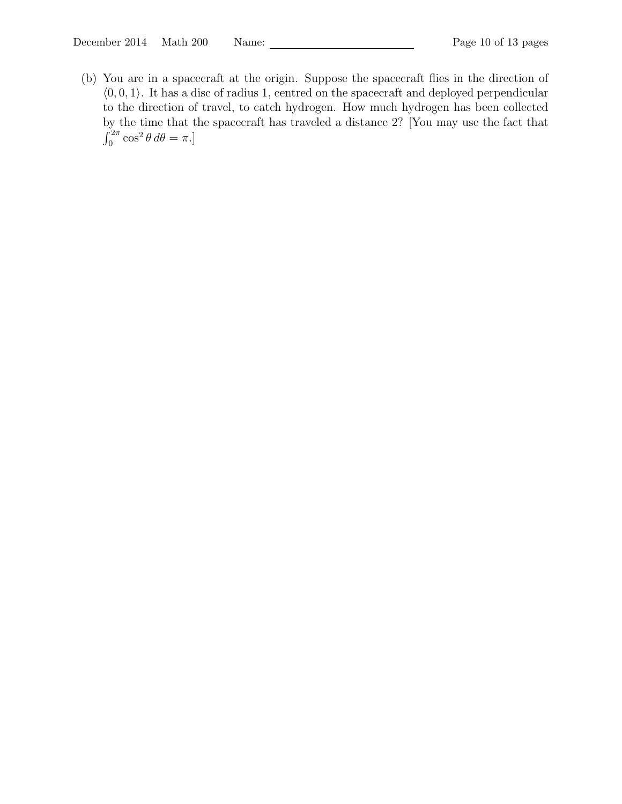(b) You are in a spacecraft at the origin. Suppose the spacecraft flies in the direction of  $(0, 0, 1)$ . It has a disc of radius 1, centred on the spacecraft and deployed perpendicular to the direction of travel, to catch hydrogen. How much hydrogen has been collected by the time that the spacecraft has traveled a distance 2? [You may use the fact that  $\int_0^{2\pi} \cos^2 \theta \, d\theta = \pi.$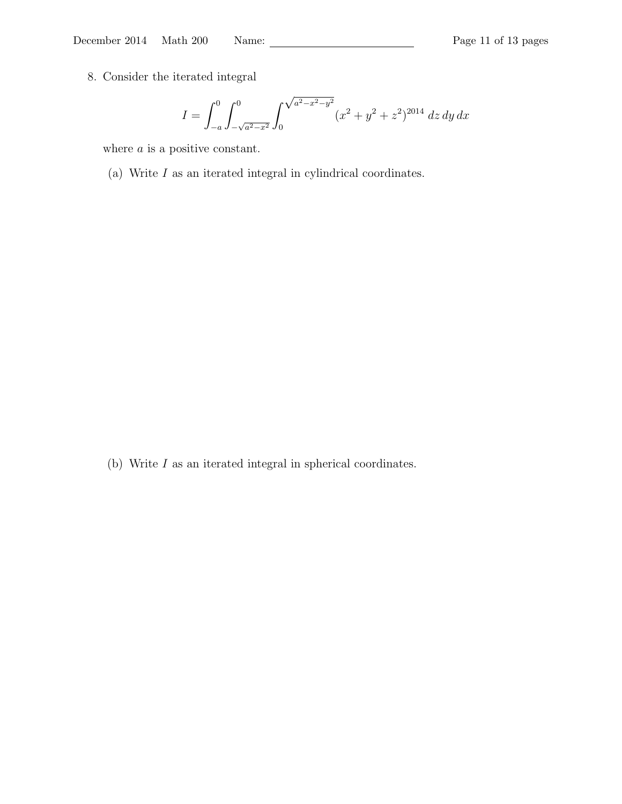December 2014 Math 200 Name: Page 11 of 13 pages

8. Consider the iterated integral

$$
I = \int_{-a}^{0} \int_{-\sqrt{a^2 - x^2}}^{0} \int_{0}^{\sqrt{a^2 - x^2 - y^2}} (x^2 + y^2 + z^2)^{2014} dz dy dx
$$

where *a* is a positive constant.

(a) Write  $I$  as an iterated integral in cylindrical coordinates.

(b) Write  $I$  as an iterated integral in spherical coordinates.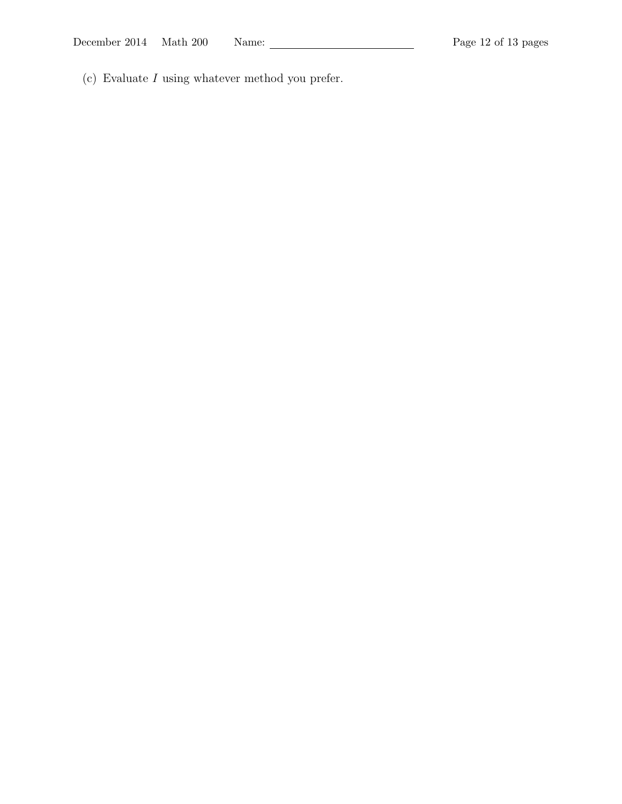(c) Evaluate I using whatever method you prefer.